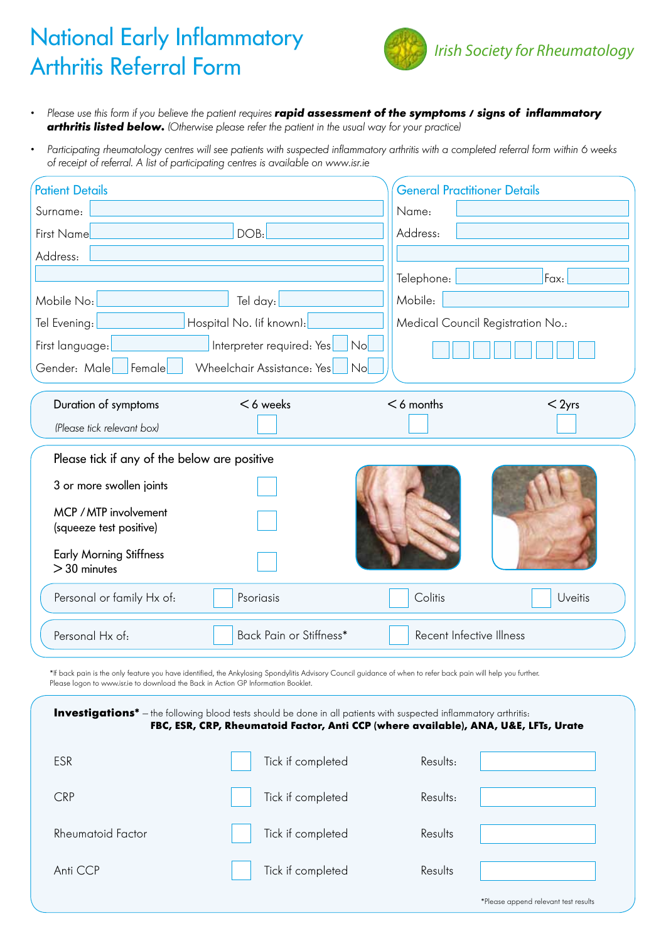## National Early Inflammatory Arthritis Referral Form



- • Please use this form if you believe the patient requires *rapid assessment of the symptoms / signs of inflammatory*  **arthritis listed below.** (Otherwise please refer the patient in the usual way for your practice)
- Participating rheumatology centres will see patients with suspected inflammatory arthritis with a completed referral form within 6 weeks of receipt of referral. A list of participating centres is available on www.isr.ie

| <b>Patient Details</b>                                     |                          | <b>General Practitioner Details</b> |          |  |  |  |  |
|------------------------------------------------------------|--------------------------|-------------------------------------|----------|--|--|--|--|
| Surname:                                                   |                          | Name:                               |          |  |  |  |  |
| First Name                                                 | DOB:                     | Address:                            |          |  |  |  |  |
| Address:                                                   |                          |                                     |          |  |  |  |  |
|                                                            |                          | Telephone:                          | Fax:     |  |  |  |  |
| Mobile No:                                                 | Tel day:                 | Mobile:                             |          |  |  |  |  |
| Tel Evening:                                               | Hospital No. (if known): | Medical Council Registration No.:   |          |  |  |  |  |
| Interpreter required: Yes<br>First language:<br>No         |                          |                                     |          |  |  |  |  |
| Gender: Male<br>Female<br>Wheelchair Assistance: Yes<br>No |                          |                                     |          |  |  |  |  |
|                                                            |                          |                                     |          |  |  |  |  |
| Duration of symptoms                                       | $<$ 6 weeks              | $<$ 6 months                        | $<$ 2yrs |  |  |  |  |
| (Please tick relevant box)                                 |                          |                                     |          |  |  |  |  |
| Please tick if any of the below are positive               |                          |                                     |          |  |  |  |  |
| 3 or more swollen joints                                   |                          |                                     |          |  |  |  |  |
| MCP / MTP involvement<br>(squeeze test positive)           |                          |                                     |          |  |  |  |  |
| <b>Early Morning Stiffness</b><br>$>30$ minutes            |                          |                                     |          |  |  |  |  |
| Personal or family Hx of:                                  | Psoriasis                | Colitis                             | Uveitis  |  |  |  |  |
| Personal Hx of:                                            | Back Pain or Stiffness*  | Recent Infective Illness            |          |  |  |  |  |

\*If back pain is the only feature you have identified, the Ankylosing Spondylitis Advisory Council guidance of when to refer back pain will help you further. Please logon to www.isr.ie to download the Back in Action GP Information Booklet.

| <b>Investigations<sup>*</sup></b> - the following blood tests should be done in all patients with suspected inflammatory arthritis:<br>FBC, ESR, CRP, Rheumatoid Factor, Anti CCP (where available), ANA, U&E, LFTs, Urate |                   |                                      |  |  |  |  |  |
|----------------------------------------------------------------------------------------------------------------------------------------------------------------------------------------------------------------------------|-------------------|--------------------------------------|--|--|--|--|--|
| ESR                                                                                                                                                                                                                        | Tick if completed | Results:                             |  |  |  |  |  |
| <b>CRP</b>                                                                                                                                                                                                                 | Tick if completed | Results:                             |  |  |  |  |  |
| Rheumatoid Factor                                                                                                                                                                                                          | Tick if completed | Results                              |  |  |  |  |  |
| Anti CCP                                                                                                                                                                                                                   | Tick if completed | Results                              |  |  |  |  |  |
|                                                                                                                                                                                                                            |                   | *Please append relevant test results |  |  |  |  |  |